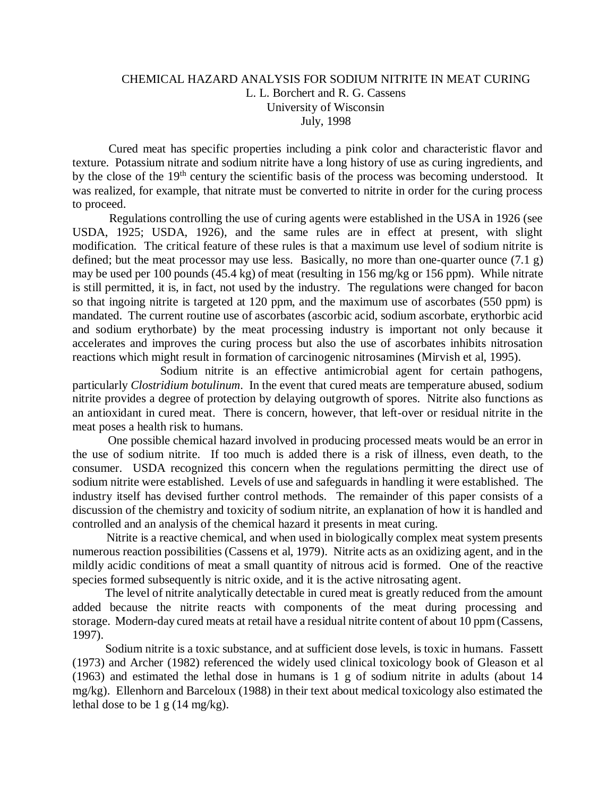## CHEMICAL HAZARD ANALYSIS FOR SODIUM NITRITE IN MEAT CURING L. L. Borchert and R. G. Cassens University of Wisconsin July, 1998

Cured meat has specific properties including a pink color and characteristic flavor and texture. Potassium nitrate and sodium nitrite have a long history of use as curing ingredients, and by the close of the 19<sup>th</sup> century the scientific basis of the process was becoming understood. It was realized, for example, that nitrate must be converted to nitrite in order for the curing process to proceed.

 Regulations controlling the use of curing agents were established in the USA in 1926 (see USDA, 1925; USDA, 1926), and the same rules are in effect at present, with slight modification. The critical feature of these rules is that a maximum use level of sodium nitrite is defined; but the meat processor may use less. Basically, no more than one-quarter ounce  $(7.1 \text{ g})$ may be used per 100 pounds (45.4 kg) of meat (resulting in 156 mg/kg or 156 ppm). While nitrate is still permitted, it is, in fact, not used by the industry. The regulations were changed for bacon so that ingoing nitrite is targeted at 120 ppm, and the maximum use of ascorbates (550 ppm) is mandated. The current routine use of ascorbates (ascorbic acid, sodium ascorbate, erythorbic acid and sodium erythorbate) by the meat processing industry is important not only because it accelerates and improves the curing process but also the use of ascorbates inhibits nitrosation reactions which might result in formation of carcinogenic nitrosamines (Mirvish et al, 1995).

 Sodium nitrite is an effective antimicrobial agent for certain pathogens, particularly *Clostridium botulinum*. In the event that cured meats are temperature abused, sodium nitrite provides a degree of protection by delaying outgrowth of spores. Nitrite also functions as an antioxidant in cured meat. There is concern, however, that left-over or residual nitrite in the meat poses a health risk to humans.

 One possible chemical hazard involved in producing processed meats would be an error in the use of sodium nitrite. If too much is added there is a risk of illness, even death, to the consumer. USDA recognized this concern when the regulations permitting the direct use of sodium nitrite were established. Levels of use and safeguards in handling it were established. The industry itself has devised further control methods. The remainder of this paper consists of a discussion of the chemistry and toxicity of sodium nitrite, an explanation of how it is handled and controlled and an analysis of the chemical hazard it presents in meat curing.

 Nitrite is a reactive chemical, and when used in biologically complex meat system presents numerous reaction possibilities (Cassens et al, 1979). Nitrite acts as an oxidizing agent, and in the mildly acidic conditions of meat a small quantity of nitrous acid is formed. One of the reactive species formed subsequently is nitric oxide, and it is the active nitrosating agent.

 The level of nitrite analytically detectable in cured meat is greatly reduced from the amount added because the nitrite reacts with components of the meat during processing and storage. Modern-day cured meats at retail have a residual nitrite content of about 10 ppm (Cassens, 1997).

 Sodium nitrite is a toxic substance, and at sufficient dose levels, is toxic in humans. Fassett (1973) and Archer (1982) referenced the widely used clinical toxicology book of Gleason et al (1963) and estimated the lethal dose in humans is 1 g of sodium nitrite in adults (about 14 mg/kg). Ellenhorn and Barceloux (1988) in their text about medical toxicology also estimated the lethal dose to be 1 g  $(14 \text{ mg/kg})$ .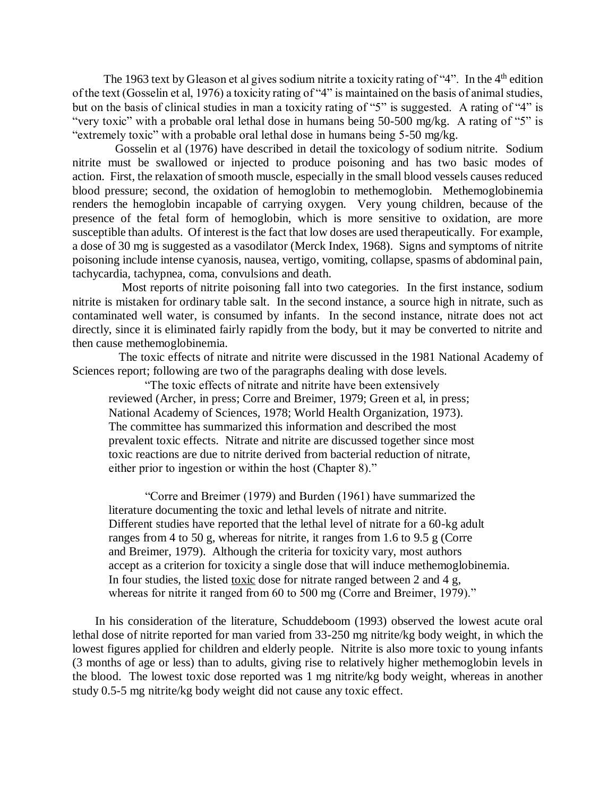The 1963 text by Gleason et al gives sodium nitrite a toxicity rating of "4". In the  $4<sup>th</sup>$  edition of the text (Gosselin et al, 1976) a toxicity rating of "4" is maintained on the basis of animal studies, but on the basis of clinical studies in man a toxicity rating of "5" is suggested. A rating of "4" is "very toxic" with a probable oral lethal dose in humans being 50-500 mg/kg. A rating of "5" is "extremely toxic" with a probable oral lethal dose in humans being 5-50 mg/kg.

 Gosselin et al (1976) have described in detail the toxicology of sodium nitrite. Sodium nitrite must be swallowed or injected to produce poisoning and has two basic modes of action. First, the relaxation of smooth muscle, especially in the small blood vessels causes reduced blood pressure; second, the oxidation of hemoglobin to methemoglobin. Methemoglobinemia renders the hemoglobin incapable of carrying oxygen. Very young children, because of the presence of the fetal form of hemoglobin, which is more sensitive to oxidation, are more susceptible than adults. Of interest is the fact that low doses are used therapeutically. For example, a dose of 30 mg is suggested as a vasodilator (Merck Index, 1968). Signs and symptoms of nitrite poisoning include intense cyanosis, nausea, vertigo, vomiting, collapse, spasms of abdominal pain, tachycardia, tachypnea, coma, convulsions and death.

 Most reports of nitrite poisoning fall into two categories. In the first instance, sodium nitrite is mistaken for ordinary table salt. In the second instance, a source high in nitrate, such as contaminated well water, is consumed by infants. In the second instance, nitrate does not act directly, since it is eliminated fairly rapidly from the body, but it may be converted to nitrite and then cause methemoglobinemia.

 The toxic effects of nitrate and nitrite were discussed in the 1981 National Academy of Sciences report; following are two of the paragraphs dealing with dose levels.

"The toxic effects of nitrate and nitrite have been extensively reviewed (Archer, in press; Corre and Breimer, 1979; Green et al, in press; National Academy of Sciences, 1978; World Health Organization, 1973). The committee has summarized this information and described the most prevalent toxic effects. Nitrate and nitrite are discussed together since most toxic reactions are due to nitrite derived from bacterial reduction of nitrate, either prior to ingestion or within the host (Chapter 8)."

 "Corre and Breimer (1979) and Burden (1961) have summarized the literature documenting the toxic and lethal levels of nitrate and nitrite. Different studies have reported that the lethal level of nitrate for a 60-kg adult ranges from 4 to 50 g, whereas for nitrite, it ranges from 1.6 to 9.5 g (Corre and Breimer, 1979). Although the criteria for toxicity vary, most authors accept as a criterion for toxicity a single dose that will induce methemoglobinemia. In four studies, the listed toxic dose for nitrate ranged between 2 and 4 g, whereas for nitrite it ranged from 60 to 500 mg (Corre and Breimer, 1979)."

In his consideration of the literature, Schuddeboom (1993) observed the lowest acute oral lethal dose of nitrite reported for man varied from 33-250 mg nitrite/kg body weight, in which the lowest figures applied for children and elderly people. Nitrite is also more toxic to young infants (3 months of age or less) than to adults, giving rise to relatively higher methemoglobin levels in the blood. The lowest toxic dose reported was 1 mg nitrite/kg body weight, whereas in another study 0.5-5 mg nitrite/kg body weight did not cause any toxic effect.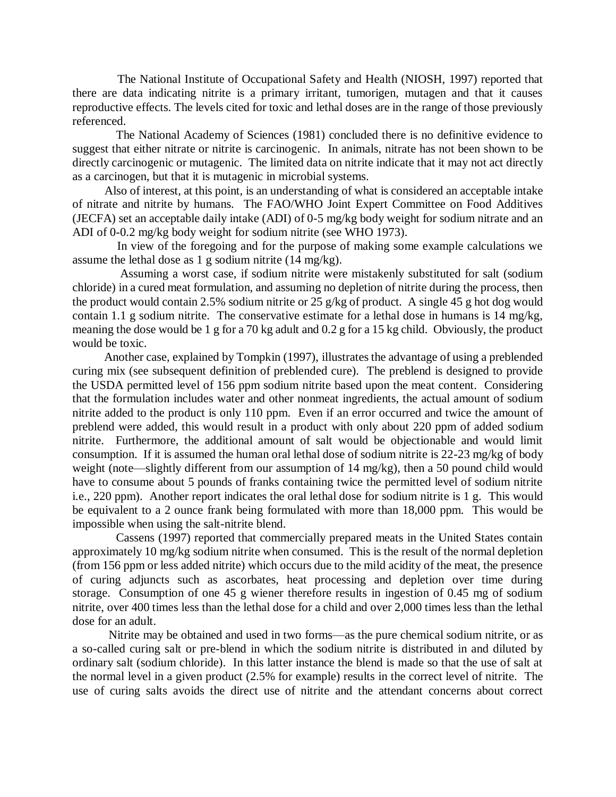The National Institute of Occupational Safety and Health (NIOSH, 1997) reported that there are data indicating nitrite is a primary irritant, tumorigen, mutagen and that it causes reproductive effects. The levels cited for toxic and lethal doses are in the range of those previously referenced.

 The National Academy of Sciences (1981) concluded there is no definitive evidence to suggest that either nitrate or nitrite is carcinogenic. In animals, nitrate has not been shown to be directly carcinogenic or mutagenic. The limited data on nitrite indicate that it may not act directly as a carcinogen, but that it is mutagenic in microbial systems.

 Also of interest, at this point, is an understanding of what is considered an acceptable intake of nitrate and nitrite by humans. The FAO/WHO Joint Expert Committee on Food Additives (JECFA) set an acceptable daily intake (ADI) of 0-5 mg/kg body weight for sodium nitrate and an ADI of 0-0.2 mg/kg body weight for sodium nitrite (see WHO 1973).

 In view of the foregoing and for the purpose of making some example calculations we assume the lethal dose as 1 g sodium nitrite (14 mg/kg).

 Assuming a worst case, if sodium nitrite were mistakenly substituted for salt (sodium chloride) in a cured meat formulation, and assuming no depletion of nitrite during the process, then the product would contain 2.5% sodium nitrite or 25 g/kg of product. A single 45 g hot dog would contain 1.1 g sodium nitrite. The conservative estimate for a lethal dose in humans is 14 mg/kg, meaning the dose would be 1 g for a 70 kg adult and 0.2 g for a 15 kg child. Obviously, the product would be toxic.

 Another case, explained by Tompkin (1997), illustrates the advantage of using a preblended curing mix (see subsequent definition of preblended cure). The preblend is designed to provide the USDA permitted level of 156 ppm sodium nitrite based upon the meat content. Considering that the formulation includes water and other nonmeat ingredients, the actual amount of sodium nitrite added to the product is only 110 ppm. Even if an error occurred and twice the amount of preblend were added, this would result in a product with only about 220 ppm of added sodium nitrite. Furthermore, the additional amount of salt would be objectionable and would limit consumption. If it is assumed the human oral lethal dose of sodium nitrite is 22-23 mg/kg of body weight (note—slightly different from our assumption of 14 mg/kg), then a 50 pound child would have to consume about 5 pounds of franks containing twice the permitted level of sodium nitrite i.e., 220 ppm). Another report indicates the oral lethal dose for sodium nitrite is 1 g. This would be equivalent to a 2 ounce frank being formulated with more than 18,000 ppm. This would be impossible when using the salt-nitrite blend.

 Cassens (1997) reported that commercially prepared meats in the United States contain approximately 10 mg/kg sodium nitrite when consumed. This is the result of the normal depletion (from 156 ppm or less added nitrite) which occurs due to the mild acidity of the meat, the presence of curing adjuncts such as ascorbates, heat processing and depletion over time during storage. Consumption of one 45 g wiener therefore results in ingestion of 0.45 mg of sodium nitrite, over 400 times less than the lethal dose for a child and over 2,000 times less than the lethal dose for an adult.

 Nitrite may be obtained and used in two forms—as the pure chemical sodium nitrite, or as a so-called curing salt or pre-blend in which the sodium nitrite is distributed in and diluted by ordinary salt (sodium chloride). In this latter instance the blend is made so that the use of salt at the normal level in a given product (2.5% for example) results in the correct level of nitrite. The use of curing salts avoids the direct use of nitrite and the attendant concerns about correct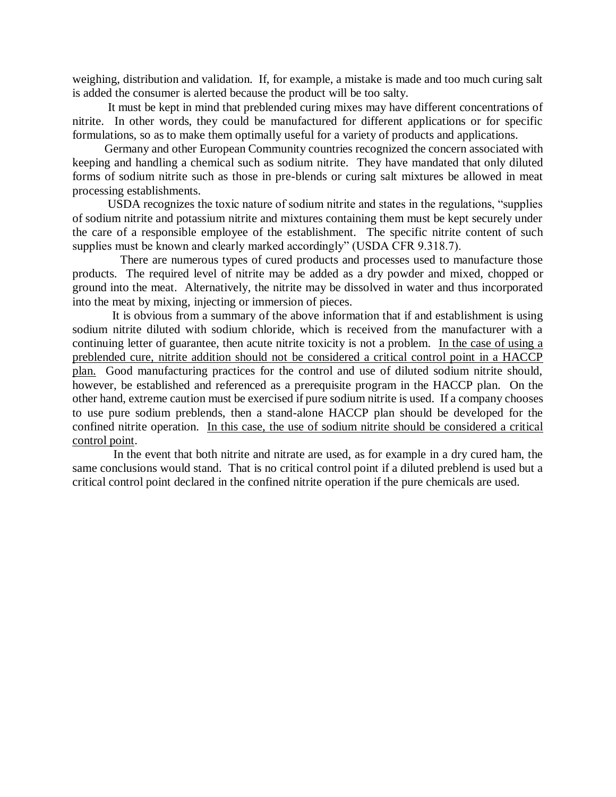weighing, distribution and validation. If, for example, a mistake is made and too much curing salt is added the consumer is alerted because the product will be too salty.

 It must be kept in mind that preblended curing mixes may have different concentrations of nitrite. In other words, they could be manufactured for different applications or for specific formulations, so as to make them optimally useful for a variety of products and applications.

 Germany and other European Community countries recognized the concern associated with keeping and handling a chemical such as sodium nitrite. They have mandated that only diluted forms of sodium nitrite such as those in pre-blends or curing salt mixtures be allowed in meat processing establishments.

 USDA recognizes the toxic nature of sodium nitrite and states in the regulations, "supplies of sodium nitrite and potassium nitrite and mixtures containing them must be kept securely under the care of a responsible employee of the establishment. The specific nitrite content of such supplies must be known and clearly marked accordingly" (USDA CFR 9.318.7).

 There are numerous types of cured products and processes used to manufacture those products. The required level of nitrite may be added as a dry powder and mixed, chopped or ground into the meat. Alternatively, the nitrite may be dissolved in water and thus incorporated into the meat by mixing, injecting or immersion of pieces.

 It is obvious from a summary of the above information that if and establishment is using sodium nitrite diluted with sodium chloride, which is received from the manufacturer with a continuing letter of guarantee, then acute nitrite toxicity is not a problem. In the case of using a preblended cure, nitrite addition should not be considered a critical control point in a HACCP plan. Good manufacturing practices for the control and use of diluted sodium nitrite should, however, be established and referenced as a prerequisite program in the HACCP plan. On the other hand, extreme caution must be exercised if pure sodium nitrite is used. If a company chooses to use pure sodium preblends, then a stand-alone HACCP plan should be developed for the confined nitrite operation. In this case, the use of sodium nitrite should be considered a critical control point.

 In the event that both nitrite and nitrate are used, as for example in a dry cured ham, the same conclusions would stand. That is no critical control point if a diluted preblend is used but a critical control point declared in the confined nitrite operation if the pure chemicals are used.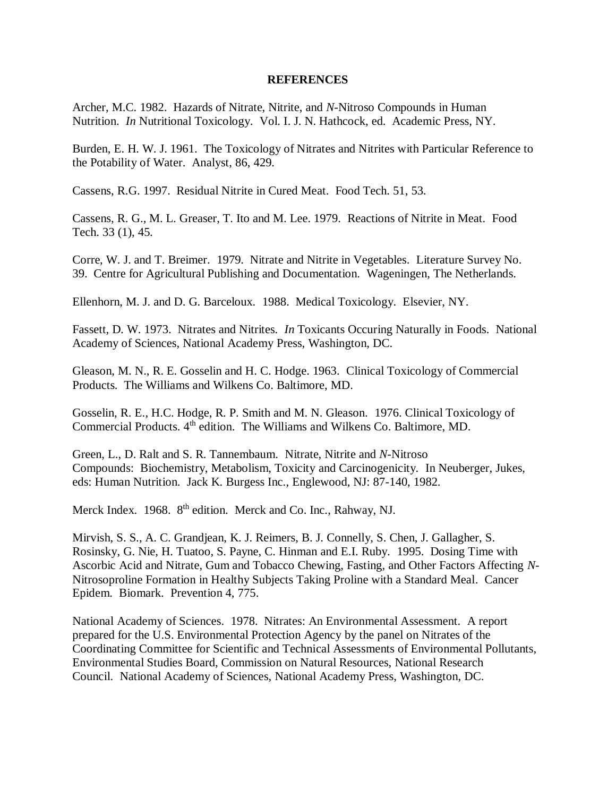## **REFERENCES**

Archer, M.C. 1982. Hazards of Nitrate, Nitrite, and *N-*Nitroso Compounds in Human Nutrition. *In* Nutritional Toxicology. Vol. I. J. N. Hathcock, ed. Academic Press, NY.

Burden, E. H. W. J. 1961. The Toxicology of Nitrates and Nitrites with Particular Reference to the Potability of Water. Analyst, 86, 429.

Cassens, R.G. 1997. Residual Nitrite in Cured Meat. Food Tech. 51, 53.

Cassens, R. G., M. L. Greaser, T. Ito and M. Lee. 1979. Reactions of Nitrite in Meat. Food Tech. 33 (1), 45.

Corre, W. J. and T. Breimer. 1979. Nitrate and Nitrite in Vegetables. Literature Survey No. 39. Centre for Agricultural Publishing and Documentation. Wageningen, The Netherlands.

Ellenhorn, M. J. and D. G. Barceloux. 1988. Medical Toxicology. Elsevier, NY.

Fassett, D. W. 1973. Nitrates and Nitrites. *In* Toxicants Occuring Naturally in Foods. National Academy of Sciences, National Academy Press, Washington, DC.

Gleason, M. N., R. E. Gosselin and H. C. Hodge. 1963. Clinical Toxicology of Commercial Products. The Williams and Wilkens Co. Baltimore, MD.

Gosselin, R. E., H.C. Hodge, R. P. Smith and M. N. Gleason. 1976. Clinical Toxicology of Commercial Products. 4th edition. The Williams and Wilkens Co. Baltimore, MD.

Green, L., D. Ralt and S. R. Tannembaum. Nitrate, Nitrite and *N-*Nitroso Compounds: Biochemistry, Metabolism, Toxicity and Carcinogenicity. In Neuberger, Jukes, eds: Human Nutrition. Jack K. Burgess Inc., Englewood, NJ: 87-140, 1982.

Merck Index. 1968. 8<sup>th</sup> edition. Merck and Co. Inc., Rahway, NJ.

Mirvish, S. S., A. C. Grandjean, K. J. Reimers, B. J. Connelly, S. Chen, J. Gallagher, S. Rosinsky, G. Nie, H. Tuatoo, S. Payne, C. Hinman and E.I. Ruby. 1995. Dosing Time with Ascorbic Acid and Nitrate, Gum and Tobacco Chewing, Fasting, and Other Factors Affecting *N*-Nitrosoproline Formation in Healthy Subjects Taking Proline with a Standard Meal. Cancer Epidem. Biomark. Prevention 4, 775.

National Academy of Sciences. 1978. Nitrates: An Environmental Assessment. A report prepared for the U.S. Environmental Protection Agency by the panel on Nitrates of the Coordinating Committee for Scientific and Technical Assessments of Environmental Pollutants, Environmental Studies Board, Commission on Natural Resources, National Research Council. National Academy of Sciences, National Academy Press, Washington, DC.